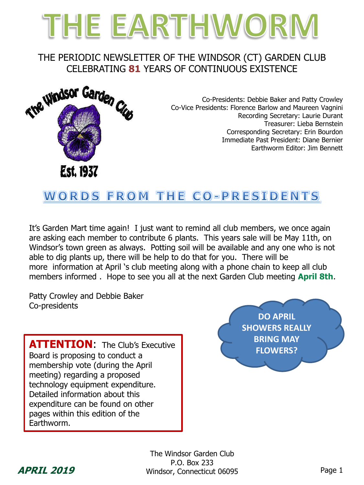# THE EARTHWORM

### THE PERIODIC NEWSLETTER OF THE WINDSOR (CT) GARDEN CLUB CELEBRATING **81** YEARS OF CONTINUOUS EXISTENCE



Co-Presidents: Debbie Baker and Patty Crowley Co-Vice Presidents: Florence Barlow and Maureen Vagnini Recording Secretary: Laurie Durant Treasurer: Lieba Bernstein Corresponding Secretary: Erin Bourdon Immediate Past President: Diane Bernier Earthworm Editor: Jim Bennett

# **WORDS FROM THE CO-PRESIDENTS**

It's Garden Mart time again! I just want to remind all club members, we once again are asking each member to contribute 6 plants. This years sale will be May 11th, on Windsor's town green as always. Potting soil will be available and any one who is not able to dig plants up, there will be help to do that for you. There will be more information at April 's club meeting along with a phone chain to keep all club members informed . Hope to see you all at the next Garden Club meeting **April 8th**.

Patty Crowley and Debbie Baker Co-presidents

**ATTENTION:** The Club's Executive **Executive ATTENTION:** The Club's Executive **Executive ATTENTION:** Board is proposing to conduct a membership vote (during the April meeting) regarding a proposed technology equipment expenditure. Detailed information about this expenditure can be found on other pages within this edition of the Earthworm.

**DO APRIL SHOWERS REALLY BRING MAY** 



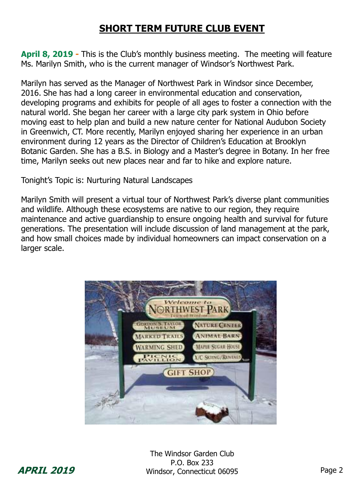# **SHORT TERM FUTURE CLUB EVENT**

**April 8, 2019 -** This is the Club's monthly business meeting. The meeting will feature Ms. Marilyn Smith, who is the current manager of Windsor's Northwest Park.

Marilyn has served as the Manager of Northwest Park in Windsor since December, 2016. She has had a long career in environmental education and conservation, developing programs and exhibits for people of all ages to foster a connection with the natural world. She began her career with a large city park system in Ohio before moving east to help plan and build a new nature center for National Audubon Society in Greenwich, CT. More recently, Marilyn enjoyed sharing her experience in an urban environment during 12 years as the Director of Children's Education at Brooklyn Botanic Garden. She has a B.S. in Biology and a Master's degree in Botany. In her free time, Marilyn seeks out new places near and far to hike and explore nature.

Tonight's Topic is: Nurturing Natural Landscapes

Marilyn Smith will present a virtual tour of Northwest Park's diverse plant communities and wildlife. Although these ecosystems are native to our region, they require maintenance and active guardianship to ensure ongoing health and survival for future generations. The presentation will include discussion of land management at the park, and how small choices made by individual homeowners can impact conservation on a larger scale.



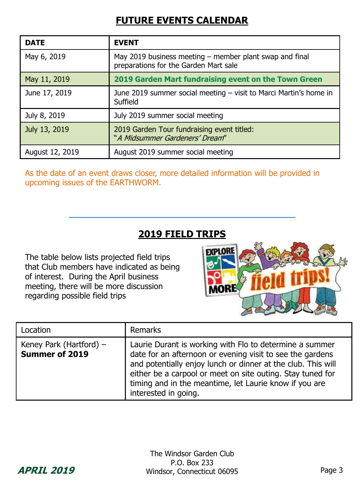# **FUTURE EVENTS CALENDAR**

| <b>DATE</b>     | <b>EVENT</b>                                                                                     |
|-----------------|--------------------------------------------------------------------------------------------------|
| May 6, 2019     | May 2019 business meeting – member plant swap and final<br>preparations for the Garden Mart sale |
| May 11, 2019    | 2019 Garden Mart fundraising event on the Town Green                                             |
| June 17, 2019   | June 2019 summer social meeting – visit to Marci Martin's home in<br>Suffield                    |
| July 8, 2019    | July 2019 summer social meeting                                                                  |
| July 13, 2019   | 2019 Garden Tour fundraising event titled:<br>"A Midsummer Gardeners' Dream"                     |
| August 12, 2019 | August 2019 summer social meeting                                                                |

As the date of an event draws closer, more detailed information will be provided in upcoming issues of the EARTHWORM.

# **2019 FIELD TRIPS**

The table below lists projected field trips that Club members have indicated as being of interest. During the April business meeting, there will be more discussion regarding possible field trips

# FXPLORE MORE

| Location                                    | Remarks                                                                                                                                                                                                                                                                                                                              |
|---------------------------------------------|--------------------------------------------------------------------------------------------------------------------------------------------------------------------------------------------------------------------------------------------------------------------------------------------------------------------------------------|
| Keney Park (Hartford) $-$<br>Summer of 2019 | Laurie Durant is working with Flo to determine a summer<br>date for an afternoon or evening visit to see the gardens<br>and potentially enjoy lunch or dinner at the club. This will<br>either be a carpool or meet on site outing. Stay tuned for<br>timing and in the meantime, let Laurie know if you are<br>interested in going. |

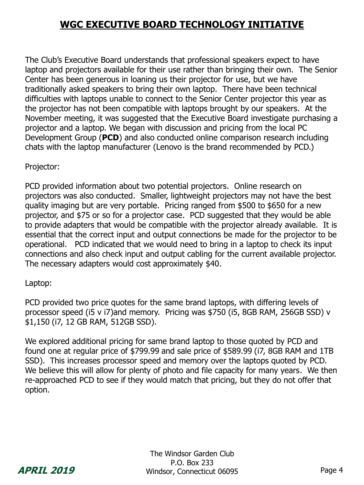# **WGC EXECUTIVE BOARD TECHNOLOGY INITIATIVE**

The Club's Executive Board understands that professional speakers expect to have laptop and projectors available for their use rather than bringing their own. The Senior Center has been generous in loaning us their projector for use, but we have traditionally asked speakers to bring their own laptop. There have been technical difficulties with laptops unable to connect to the Senior Center projector this year as the projector has not been compatible with laptops brought by our speakers. At the November meeting, it was suggested that the Executive Board investigate purchasing a projector and a laptop. We began with discussion and pricing from the local PC Development Group (**PCD**) and also conducted online comparison research including chats with the laptop manufacturer (Lenovo is the brand recommended by PCD.)

Projector:

PCD provided information about two potential projectors. Online research on projectors was also conducted. Smaller, lightweight projectors may not have the best quality imaging but are very portable. Pricing ranged from \$500 to \$650 for a new projector, and \$75 or so for a projector case. PCD suggested that they would be able to provide adapters that would be compatible with the projector already available. It is essential that the correct input and output connections be made for the projector to be operational. PCD indicated that we would need to bring in a laptop to check its input connections and also check input and output cabling for the current available projector. The necessary adapters would cost approximately \$40.

Laptop:

PCD provided two price quotes for the same brand laptops, with differing levels of processor speed (i5 v i7)and memory. Pricing was \$750 (i5, 8GB RAM, 256GB SSD) v \$1,150 (i7, 12 GB RAM, 512GB SSD).

We explored additional pricing for same brand laptop to those quoted by PCD and found one at regular price of \$799.99 and sale price of \$589.99 (i7, 8GB RAM and 1TB SSD). This increases processor speed and memory over the laptops quoted by PCD. We believe this will allow for plenty of photo and file capacity for many years. We then re-approached PCD to see if they would match that pricing, but they do not offer that option.

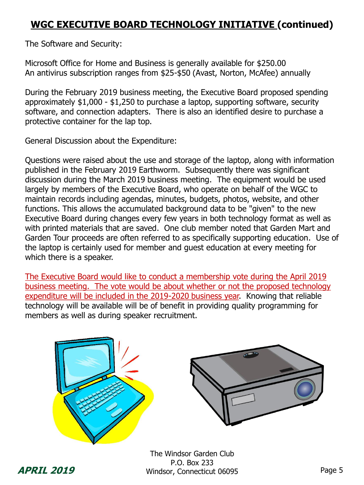# **WGC EXECUTIVE BOARD TECHNOLOGY INITIATIVE (continued)**

The Software and Security:

Microsoft Office for Home and Business is generally available for \$250.00 An antivirus subscription ranges from \$25-\$50 (Avast, Norton, McAfee) annually

During the February 2019 business meeting, the Executive Board proposed spending approximately \$1,000 - \$1,250 to purchase a laptop, supporting software, security software, and connection adapters. There is also an identified desire to purchase a protective container for the lap top.

General Discussion about the Expenditure:

Questions were raised about the use and storage of the laptop, along with information published in the February 2019 Earthworm. Subsequently there was significant discussion during the March 2019 business meeting. The equipment would be used largely by members of the Executive Board, who operate on behalf of the WGC to maintain records including agendas, minutes, budgets, photos, website, and other functions. This allows the accumulated background data to be "given" to the new Executive Board during changes every few years in both technology format as well as with printed materials that are saved. One club member noted that Garden Mart and Garden Tour proceeds are often referred to as specifically supporting education. Use of the laptop is certainly used for member and guest education at every meeting for which there is a speaker.

The Executive Board would like to conduct a membership vote during the April 2019 business meeting. The vote would be about whether or not the proposed technology expenditure will be included in the 2019-2020 business year. Knowing that reliable technology will be available will be of benefit in providing quality programming for members as well as during speaker recruitment.





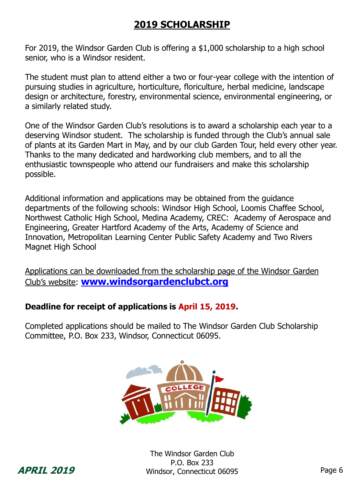# **2019 SCHOLARSHIP**

For 2019, the Windsor Garden Club is offering a \$1,000 scholarship to a high school senior, who is a Windsor resident.

The student must plan to attend either a two or four-year college with the intention of pursuing studies in agriculture, horticulture, floriculture, herbal medicine, landscape design or architecture, forestry, environmental science, environmental engineering, or a similarly related study.

One of the Windsor Garden Club's resolutions is to award a scholarship each year to a deserving Windsor student. The scholarship is funded through the Club's annual sale of plants at its Garden Mart in May, and by our club Garden Tour, held every other year. Thanks to the many dedicated and hardworking club members, and to all the enthusiastic townspeople who attend our fundraisers and make this scholarship possible.

Additional information and applications may be obtained from the guidance departments of the following schools: Windsor High School, Loomis Chaffee School, Northwest Catholic High School, Medina Academy, CREC: Academy of Aerospace and Engineering, Greater Hartford Academy of the Arts, Academy of Science and Innovation, Metropolitan Learning Center Public Safety Academy and Two Rivers Magnet High School

Applications can be downloaded from the scholarship page of the Windsor Garden Club's website: **[www.windsorgardenclubct.org](http://www.windsorgardenclubct.org/)**

#### **Deadline for receipt of applications is April 15, 2019.**

Completed applications should be mailed to The Windsor Garden Club Scholarship Committee, P.O. Box 233, Windsor, Connecticut 06095.



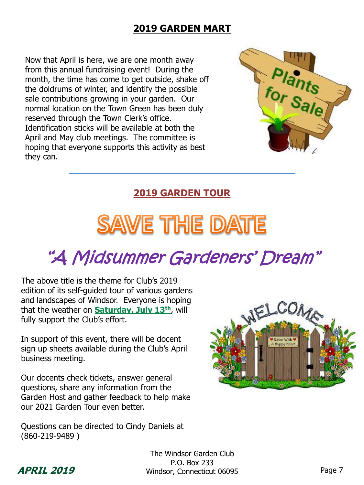# **2019 GARDEN MART**

Now that April is here, we are one month away from this annual fundraising event! During the month, the time has come to get outside, shake off the doldrums of winter, and identify the possible sale contributions growing in your garden. Our normal location on the Town Green has been duly reserved through the Town Clerk's office. Identification sticks will be available at both the April and May club meetings. The committee is hoping that everyone supports this activity as best they can.



# **2019 GARDEN TOUR**

# **SAVE THE DATE**

# "A Midsummer Gardeners' Dream"

The above title is the theme for Club's 2019 edition of its self-guided tour of various gardens and landscapes of Windsor. Everyone is hoping that the weather on **Saturday, July 13th**, will fully support the Club's effort.

In support of this event, there will be docent sign up sheets available during the Club's April business meeting.

Our docents check tickets, answer general questions, share any information from the Garden Host and gather feedback to help make our 2021 Garden Tour even better.

Questions can be directed to Cindy Daniels at (860-219-9489 )



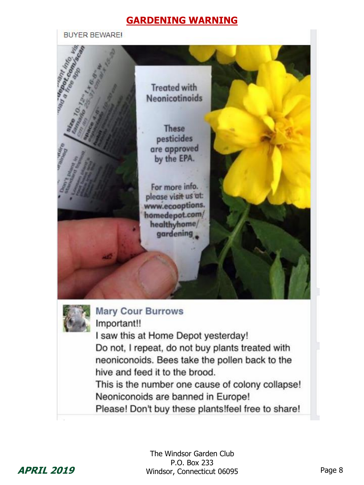#### **GARDENING WARNING**

**BUYER BEWARE!**